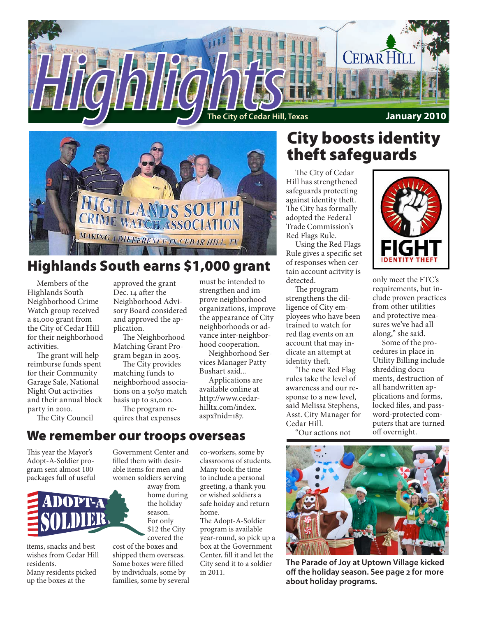



# Highlands South earns \$1,000 grant

Members of the Highlands South Neighborhood Crime Watch group received a \$1,000 grant from the City of Cedar Hill for their neighborhood activities.

The grant will help reimburse funds spent for their Community Garage Sale, National Night Out activities and their annual block party in 2010.

The City Council

approved the grant Dec. 14 after the Neighborhood Advisory Board considered and approved the application.

The Neighborhood Matching Grant Program began in 2005.

The City provides matching funds to neighborhood associations on a 50/50 match basis up to \$1,000.

The program requires that expenses must be intended to strengthen and improve neighborhood organizations, improve the appearance of City neighborhoods or advance inter-neighborhood cooperation.

Neighborhood Services Manager Patty Bushart said...

Applications are available online at http://www.cedarhilltx.com/index. aspx?nid=187.

# City boosts identity theft safeguards

The City of Cedar Hill has strengthened safeguards protecting against identity theft. The City has formally adopted the Federal Trade Commission's Red Flags Rule.

Using the Red Flags Rule gives a specific set of responses when certain account acitvity is detected.

The program strengthens the dilligence of City employees who have been trained to watch for red flag events on an account that may indicate an attempt at identity theft.

'The new Red Flag rules take the level of awareness and our response to a new level, said Melissa Stephens, Asst. City Manager for Cedar Hill.

"Our actions not



only meet the FTC's requirements, but include proven practices from other utilities and protective measures we've had all along," she said.

Some of the procedures in place in Utility Billing include shredding documents, destruction of all handwritten applications and forms, locked files, and password-protected computers that are turned off overnight.

# We remember our troops overseas

This year the Mayor's Adopt-A-Soldier program sent almost 100 packages full of useful



items, snacks and best wishes from Cedar Hill residents. Many residents picked up the boxes at the

Government Center and filled them with desirable items for men and women soldiers serving

> away from home during the holiday season. For only \$12 the City covered the

cost of the boxes and shipped them overseas. Some boxes were filled by individuals, some by families, some by several

co-workers, some by classrooms of students. Many took the time to include a personal greeting, a thank you or wished soldiers a safe hoiday and return home.

The Adopt-A-Soldier program is available year-round, so pick up a box at the Government Center, fill it and let the City send it to a soldier in 2011.



**The Parade of Joy at Uptown Village kicked off the holiday season. See page 2 for more about holiday programs.**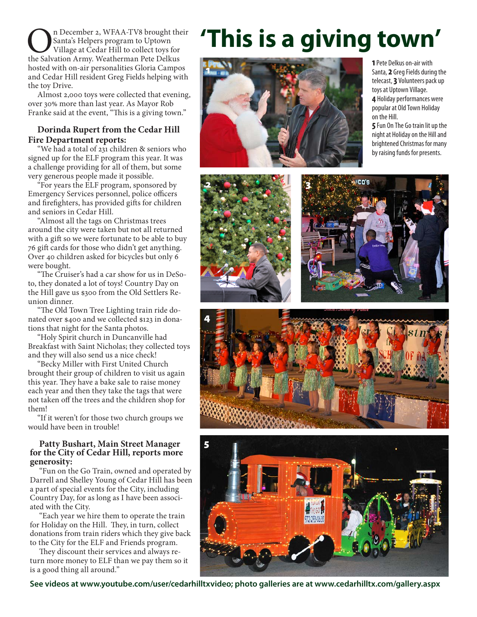**OREGE 18 DECEMBER 2, WFAA-TV8 brought their** Santa's Helpers program to Uptown Village at Cedar Hill to collect toys for the Salvation Army. Weatherman Pete Delkus Santa's Helpers program to Uptown Village at Cedar Hill to collect toys for hosted with on-air personalities Gloria Campos and Cedar Hill resident Greg Fields helping with the toy Drive.

Almost 2,000 toys were collected that evening, over 30% more than last year. As Mayor Rob Franke said at the event, "This is a giving town."

### **Dorinda Rupert from the Cedar Hill Fire Department reports:**

"We had a total of 231 children & seniors who signed up for the ELF program this year. It was a challenge providing for all of them, but some very generous people made it possible.

"For years the ELF program, sponsored by Emergency Services personnel, police officers and firefighters, has provided gifts for children and seniors in Cedar Hill.

"Almost all the tags on Christmas trees around the city were taken but not all returned with a gift so we were fortunate to be able to buy 76 gift cards for those who didn't get anything. Over 40 children asked for bicycles but only 6 were bought.

"The Cruiser's had a car show for us in DeSoto, they donated a lot of toys! Country Day on the Hill gave us \$300 from the Old Settlers Reunion dinner.

"The Old Town Tree Lighting train ride donated over \$400 and we collected \$123 in donations that night for the Santa photos.

"Holy Spirit church in Duncanville had Breakfast with Saint Nicholas; they collected toys and they will also send us a nice check!

"Becky Miller with First United Church brought their group of children to visit us again this year. They have a bake sale to raise money each year and then they take the tags that were not taken off the trees and the children shop for them!

"If it weren't for those two church groups we would have been in trouble!

### **Patty Bushart, Main Street Manager for the City of Cedar Hill, reports more generosity:**

"Fun on the Go Train, owned and operated by Darrell and Shelley Young of Cedar Hill has been a part of special events for the City, including Country Day, for as long as I have been associated with the City.

"Each year we hire them to operate the train for Holiday on the Hill. They, in turn, collect donations from train riders which they give back to the City for the ELF and Friends program.

They discount their services and always return more money to ELF than we pay them so it is a good thing all around."

# **'This is a giving town'**



**1** Pete Delkus on-air with Santa, **2** Greg Fields during the telecast, **3** Volunteers pack up toys at Uptown Village. **4** Holiday performances were popular at Old Town Holiday on the Hill.

**5** Fun On The Go train lit up the night at Holiday on the Hill and brightened Christmas for many by raising funds for presents.









**See videos at www.youtube.com/user/cedarhilltxvideo; photo galleries are at www.cedarhilltx.com/gallery.aspx**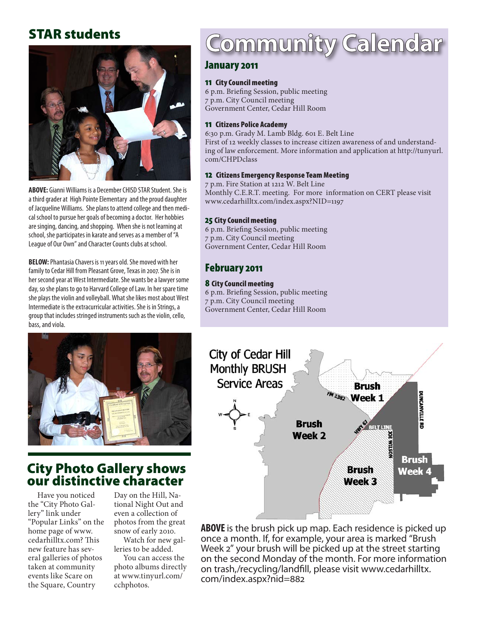# STAR students



**ABOVE:** Gianni Williams is a December CHISD STAR Student. She is a third grader at High Pointe Elementary and the proud daughter of Jacqueline Williams. She plans to attend college and then medical school to pursue her goals of becoming a doctor. Her hobbies are singing, dancing, and shopping. When she is not learning at school, she participates in karate and serves as a member of "A League of Our Own" and Character Counts clubs at school.

**BELOW:** Phantasia Chavers is 11 years old. She moved with her family to Cedar Hill from Pleasant Grove, Texas in 2007. She is in her second year at West Intermediate. She wants be a lawyer some day, so she plans to go to Harvard College of Law. In her spare time she plays the violin and volleyball. What she likes most about West Intermediate is the extracurricular activities. She is in Strings, a group that includes stringed instruments such as the violin, cello, bass, and viola.



## City Photo Gallery shows our distinctive character

Have you noticed the "City Photo Gallery" link under "Popular Links" on the home page of www. cedarhilltx.com? This new feature has several galleries of photos taken at community events like Scare on the Square, Country

Day on the Hill, National Night Out and even a collection of photos from the great snow of early 2010.

Watch for new galleries to be added.

You can access the photo albums directly at www.tinyurl.com/ cchphotos.

# Community Calendar

## January 2011

## 11 City Council meeting

6 p.m. Briefing Session, public meeting 7 p.m. City Council meeting Government Center, Cedar Hill Room

#### 11 Citizens Police Academy

6:30 p.m. Grady M. Lamb Bldg. 601 E. Belt Line First of 12 weekly classes to increase citizen awareness of and understanding of law enforcement. More information and application at http://tunyurl. com/CHPDclass

#### 12 Citizens Emergency Response Team Meeting

7 p.m. Fire Station at 1212 W. Belt Line Monthly C.E.R.T. meeting. For more information on CERT please visit www.cedarhilltx.com/index.aspx?NID=1197

## 25 City Council meeting

6 p.m. Briefing Session, public meeting 7 p.m. City Council meeting Government Center, Cedar Hill Room

## February 2011

## 8 City Council meeting

6 p.m. Briefing Session, public meeting 7 p.m. City Council meeting Government Center, Cedar Hill Room



**ABOVE**is the brush pick up map. Each residence is picked up once a month. If, for example, your area is marked "Brush Week 2" your brush will be picked up at the street starting on the second Monday of the month. For more information on trash,/recycling/landfill, please visit www.cedarhilltx. com/index.aspx?nid=882